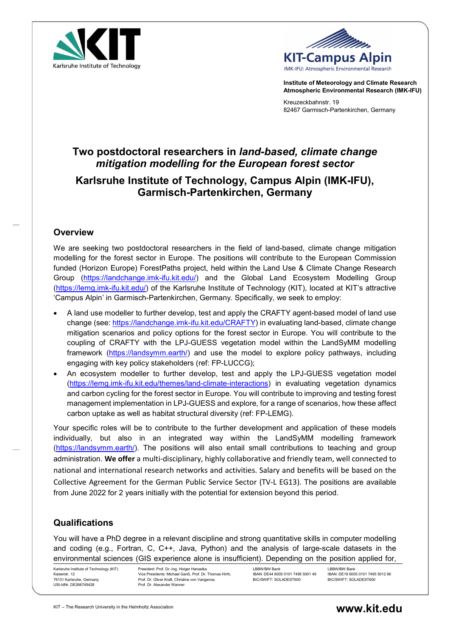



Institute of Meteorology and Climate Research Atmospheric Environmental Research (IMK-IFU)

Kreuzeckbahnstr. 19 82467 Garmisch-Partenkirchen, Germany

# Two postdoctoral researchers in land-based, climate change mitigation modelling for the European forest sector

# Karlsruhe Institute of Technology, Campus Alpin (IMK-IFU), Garmisch-Partenkirchen, Germany

#### **Overview**

We are seeking two postdoctoral researchers in the field of land-based, climate change mitigation modelling for the forest sector in Europe. The positions will contribute to the European Commission funded (Horizon Europe) ForestPaths project, held within the Land Use & Climate Change Research Group (https://landchange.imk-ifu.kit.edu/) and the Global Land Ecosystem Modelling Group (https://lemg.imk-ifu.kit.edu/) of the Karlsruhe Institute of Technology (KIT), located at KIT's attractive 'Campus Alpin' in Garmisch-Partenkirchen, Germany. Specifically, we seek to employ:

- A land use modeller to further develop, test and apply the CRAFTY agent-based model of land use change (see: https://landchange.imk-ifu.kit.edu/CRAFTY) in evaluating land-based, climate change mitigation scenarios and policy options for the forest sector in Europe. You will contribute to the coupling of CRAFTY with the LPJ-GUESS vegetation model within the LandSyMM modelling framework (https://landsymm.earth/) and use the model to explore policy pathways, including engaging with key policy stakeholders (ref: FP-LUCCG);
- An ecosystem modeller to further develop, test and apply the LPJ-GUESS vegetation model (https://lemg.imk-ifu.kit.edu/themes/land-climate-interactions) in evaluating vegetation dynamics and carbon cycling for the forest sector in Europe. You will contribute to improving and testing forest management implementation in LPJ-GUESS and explore, for a range of scenarios, how these affect carbon uptake as well as habitat structural diversity (ref: FP-LEMG).

Your specific roles will be to contribute to the further development and application of these models individually, but also in an integrated way within the LandSyMM modelling framework (https://landsymm.earth/). The positions will also entail small contributions to teaching and group administration. We offer a multi-disciplinary, highly collaborative and friendly team, well connected to national and international research networks and activities. Salary and benefits will be based on the Collective Agreement for the German Public Service Sector (TV‐L EG13). The positions are available from June 2022 for 2 years initially with the potential for extension beyond this period.

## **Qualifications**

You will have a PhD degree in a relevant discipline and strong quantitative skills in computer modelling and coding (e.g., Fortran, C, C++, Java, Python) and the analysis of large-scale datasets in the environmental sciences (GIS experience alone is insufficient). Depending on the position applied for,

Karlsruhe Institute of Technology (KIT) Kaiserstr. 12 76131 Karlsruhe, Germany USt-IdNr. DE266749428

President: Prof. Dr.-Ing. Holger Hanselka Vice Presidents: Michael Ganß, Prof. Dr. Thomas Hirth, Prof. Dr. Oliver Kraft, Christine von Vangerow, Prof. Dr. Alexander Wanner

LBBW/BW Bank IBAN: DE44 6005 0101 7495 5001 49 BIC/SWIFT: SOLADEST600

LBBW/BW Bank IBAN: DE18 6005 0101 7495 5012 96 BIC/SWIFT: SOLADEST600